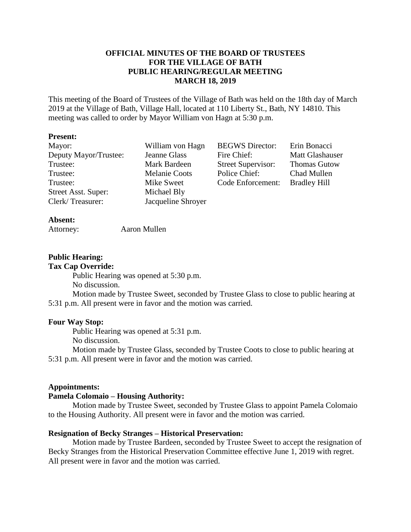## **OFFICIAL MINUTES OF THE BOARD OF TRUSTEES FOR THE VILLAGE OF BATH PUBLIC HEARING/REGULAR MEETING MARCH 18, 2019**

This meeting of the Board of Trustees of the Village of Bath was held on the 18th day of March 2019 at the Village of Bath, Village Hall, located at 110 Liberty St., Bath, NY 14810. This meeting was called to order by Mayor William von Hagn at 5:30 p.m.

#### **Present:**

| Mayor:                | William von Hagn     | <b>BEGWS</b> Director:    | Erin Bonacci        |
|-----------------------|----------------------|---------------------------|---------------------|
| Deputy Mayor/Trustee: | Jeanne Glass         | Fire Chief:               | Matt Glashauser     |
| Trustee:              | Mark Bardeen         | <b>Street Supervisor:</b> | <b>Thomas Gutow</b> |
| Trustee:              | <b>Melanie Coots</b> | Police Chief:             | Chad Mullen         |
| Trustee:              | Mike Sweet           | Code Enforcement:         | <b>Bradley Hill</b> |
| Street Asst. Super:   | Michael Bly          |                           |                     |
| Clerk/Treasurer:      | Jacqueline Shroyer   |                           |                     |

## **Absent:**

| Attorney: | Aaron Mullen |
|-----------|--------------|
|-----------|--------------|

## **Public Hearing:**

**Tax Cap Override:**

Public Hearing was opened at 5:30 p.m. No discussion.

Motion made by Trustee Sweet, seconded by Trustee Glass to close to public hearing at 5:31 p.m. All present were in favor and the motion was carried.

#### **Four Way Stop:**

Public Hearing was opened at 5:31 p.m.

No discussion.

Motion made by Trustee Glass, seconded by Trustee Coots to close to public hearing at 5:31 p.m. All present were in favor and the motion was carried.

#### **Appointments:**

### **Pamela Colomaio – Housing Authority:**

Motion made by Trustee Sweet, seconded by Trustee Glass to appoint Pamela Colomaio to the Housing Authority. All present were in favor and the motion was carried.

#### **Resignation of Becky Stranges – Historical Preservation:**

Motion made by Trustee Bardeen, seconded by Trustee Sweet to accept the resignation of Becky Stranges from the Historical Preservation Committee effective June 1, 2019 with regret. All present were in favor and the motion was carried.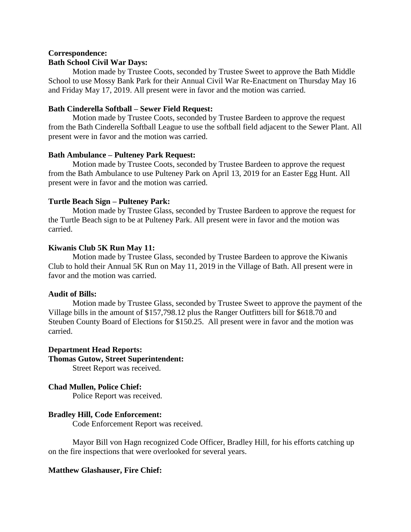## **Correspondence: Bath School Civil War Days:**

Motion made by Trustee Coots, seconded by Trustee Sweet to approve the Bath Middle School to use Mossy Bank Park for their Annual Civil War Re-Enactment on Thursday May 16 and Friday May 17, 2019. All present were in favor and the motion was carried.

## **Bath Cinderella Softball – Sewer Field Request:**

Motion made by Trustee Coots, seconded by Trustee Bardeen to approve the request from the Bath Cinderella Softball League to use the softball field adjacent to the Sewer Plant. All present were in favor and the motion was carried.

## **Bath Ambulance – Pulteney Park Request:**

Motion made by Trustee Coots, seconded by Trustee Bardeen to approve the request from the Bath Ambulance to use Pulteney Park on April 13, 2019 for an Easter Egg Hunt. All present were in favor and the motion was carried.

## **Turtle Beach Sign – Pulteney Park:**

Motion made by Trustee Glass, seconded by Trustee Bardeen to approve the request for the Turtle Beach sign to be at Pulteney Park. All present were in favor and the motion was carried.

## **Kiwanis Club 5K Run May 11:**

Motion made by Trustee Glass, seconded by Trustee Bardeen to approve the Kiwanis Club to hold their Annual 5K Run on May 11, 2019 in the Village of Bath. All present were in favor and the motion was carried.

## **Audit of Bills:**

Motion made by Trustee Glass, seconded by Trustee Sweet to approve the payment of the Village bills in the amount of \$157,798.12 plus the Ranger Outfitters bill for \$618.70 and Steuben County Board of Elections for \$150.25. All present were in favor and the motion was carried.

## **Department Head Reports:**

## **Thomas Gutow, Street Superintendent:**

Street Report was received.

## **Chad Mullen, Police Chief:**

Police Report was received.

## **Bradley Hill, Code Enforcement:**

Code Enforcement Report was received.

Mayor Bill von Hagn recognized Code Officer, Bradley Hill, for his efforts catching up on the fire inspections that were overlooked for several years.

## **Matthew Glashauser, Fire Chief:**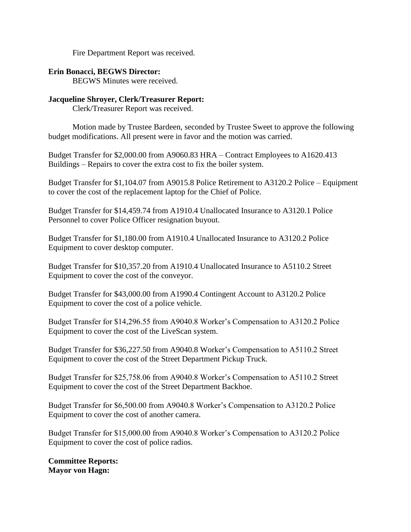Fire Department Report was received.

## **Erin Bonacci, BEGWS Director:**

BEGWS Minutes were received.

## **Jacqueline Shroyer, Clerk/Treasurer Report:**

Clerk/Treasurer Report was received.

Motion made by Trustee Bardeen, seconded by Trustee Sweet to approve the following budget modifications. All present were in favor and the motion was carried.

Budget Transfer for \$2,000.00 from A9060.83 HRA – Contract Employees to A1620.413 Buildings – Repairs to cover the extra cost to fix the boiler system.

Budget Transfer for \$1,104.07 from A9015.8 Police Retirement to A3120.2 Police – Equipment to cover the cost of the replacement laptop for the Chief of Police.

Budget Transfer for \$14,459.74 from A1910.4 Unallocated Insurance to A3120.1 Police Personnel to cover Police Officer resignation buyout.

Budget Transfer for \$1,180.00 from A1910.4 Unallocated Insurance to A3120.2 Police Equipment to cover desktop computer.

Budget Transfer for \$10,357.20 from A1910.4 Unallocated Insurance to A5110.2 Street Equipment to cover the cost of the conveyor.

Budget Transfer for \$43,000.00 from A1990.4 Contingent Account to A3120.2 Police Equipment to cover the cost of a police vehicle.

Budget Transfer for \$14,296.55 from A9040.8 Worker's Compensation to A3120.2 Police Equipment to cover the cost of the LiveScan system.

Budget Transfer for \$36,227.50 from A9040.8 Worker's Compensation to A5110.2 Street Equipment to cover the cost of the Street Department Pickup Truck.

Budget Transfer for \$25,758.06 from A9040.8 Worker's Compensation to A5110.2 Street Equipment to cover the cost of the Street Department Backhoe.

Budget Transfer for \$6,500.00 from A9040.8 Worker's Compensation to A3120.2 Police Equipment to cover the cost of another camera.

Budget Transfer for \$15,000.00 from A9040.8 Worker's Compensation to A3120.2 Police Equipment to cover the cost of police radios.

**Committee Reports: Mayor von Hagn:**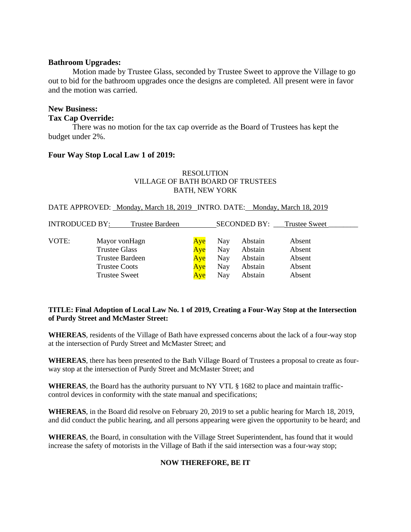#### **Bathroom Upgrades:**

Motion made by Trustee Glass, seconded by Trustee Sweet to approve the Village to go out to bid for the bathroom upgrades once the designs are completed. All present were in favor and the motion was carried.

### **New Business: Tax Cap Override:**

There was no motion for the tax cap override as the Board of Trustees has kept the budget under 2%.

## **Four Way Stop Local Law 1 of 2019:**

#### RESOLUTION VILLAGE OF BATH BOARD OF TRUSTEES BATH, NEW YORK

#### DATE APPROVED: Monday, March 18, 2019 INTRO. DATE: Monday, March 18, 2019

| <b>INTRODUCED BY:</b> | Trustee Bardeen        |     |     |         | <b>SECONDED BY:</b> Trustee Sweet |  |
|-----------------------|------------------------|-----|-----|---------|-----------------------------------|--|
| VOTE:                 | Mayor von Hagn         | Aye | Nay | Abstain | Absent                            |  |
|                       | <b>Trustee Glass</b>   | Aye | Nay | Abstain | Absent                            |  |
|                       | <b>Trustee Bardeen</b> | Aye | Nay | Abstain | Absent                            |  |
|                       | Trustee Coots          | Aye | Nay | Abstain | Absent                            |  |
|                       | <b>Trustee Sweet</b>   | Aye | Nay | Abstain | Absent                            |  |

#### **TITLE: Final Adoption of Local Law No. 1 of 2019, Creating a Four-Way Stop at the Intersection of Purdy Street and McMaster Street:**

**WHEREAS**, residents of the Village of Bath have expressed concerns about the lack of a four-way stop at the intersection of Purdy Street and McMaster Street; and

**WHEREAS**, there has been presented to the Bath Village Board of Trustees a proposal to create as fourway stop at the intersection of Purdy Street and McMaster Street; and

**WHEREAS**, the Board has the authority pursuant to NY VTL § 1682 to place and maintain trafficcontrol devices in conformity with the state manual and specifications;

**WHEREAS**, in the Board did resolve on February 20, 2019 to set a public hearing for March 18, 2019, and did conduct the public hearing, and all persons appearing were given the opportunity to be heard; and

**WHEREAS**, the Board, in consultation with the Village Street Superintendent, has found that it would increase the safety of motorists in the Village of Bath if the said intersection was a four-way stop;

#### **NOW THEREFORE, BE IT**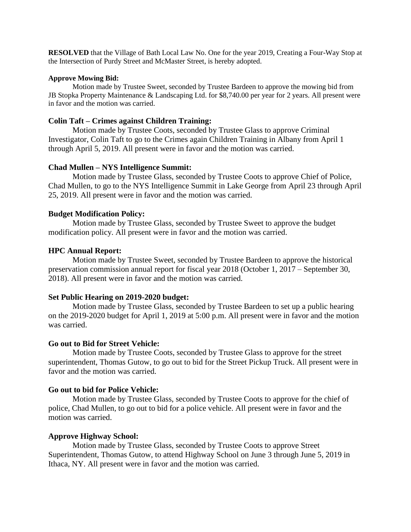**RESOLVED** that the Village of Bath Local Law No. One for the year 2019, Creating a Four-Way Stop at the Intersection of Purdy Street and McMaster Street, is hereby adopted.

#### **Approve Mowing Bid:**

Motion made by Trustee Sweet, seconded by Trustee Bardeen to approve the mowing bid from JB Stopka Property Maintenance & Landscaping Ltd. for \$8,740.00 per year for 2 years. All present were in favor and the motion was carried.

### **Colin Taft – Crimes against Children Training:**

Motion made by Trustee Coots, seconded by Trustee Glass to approve Criminal Investigator, Colin Taft to go to the Crimes again Children Training in Albany from April 1 through April 5, 2019. All present were in favor and the motion was carried.

#### **Chad Mullen – NYS Intelligence Summit:**

Motion made by Trustee Glass, seconded by Trustee Coots to approve Chief of Police, Chad Mullen, to go to the NYS Intelligence Summit in Lake George from April 23 through April 25, 2019. All present were in favor and the motion was carried.

### **Budget Modification Policy:**

Motion made by Trustee Glass, seconded by Trustee Sweet to approve the budget modification policy. All present were in favor and the motion was carried.

### **HPC Annual Report:**

Motion made by Trustee Sweet, seconded by Trustee Bardeen to approve the historical preservation commission annual report for fiscal year 2018 (October 1, 2017 – September 30, 2018). All present were in favor and the motion was carried.

#### **Set Public Hearing on 2019-2020 budget:**

Motion made by Trustee Glass, seconded by Trustee Bardeen to set up a public hearing on the 2019-2020 budget for April 1, 2019 at 5:00 p.m. All present were in favor and the motion was carried.

#### **Go out to Bid for Street Vehicle:**

Motion made by Trustee Coots, seconded by Trustee Glass to approve for the street superintendent, Thomas Gutow, to go out to bid for the Street Pickup Truck. All present were in favor and the motion was carried.

## **Go out to bid for Police Vehicle:**

Motion made by Trustee Glass, seconded by Trustee Coots to approve for the chief of police, Chad Mullen, to go out to bid for a police vehicle. All present were in favor and the motion was carried.

## **Approve Highway School:**

Motion made by Trustee Glass, seconded by Trustee Coots to approve Street Superintendent, Thomas Gutow, to attend Highway School on June 3 through June 5, 2019 in Ithaca, NY. All present were in favor and the motion was carried.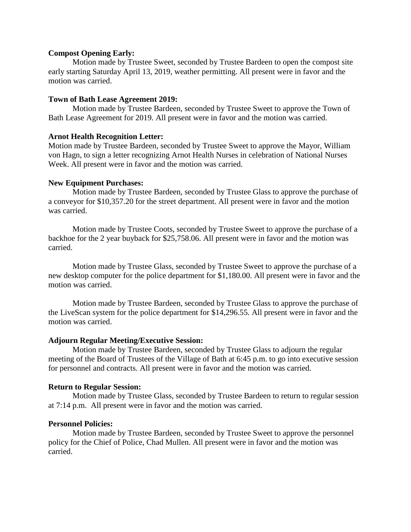#### **Compost Opening Early:**

Motion made by Trustee Sweet, seconded by Trustee Bardeen to open the compost site early starting Saturday April 13, 2019, weather permitting. All present were in favor and the motion was carried.

#### **Town of Bath Lease Agreement 2019:**

Motion made by Trustee Bardeen, seconded by Trustee Sweet to approve the Town of Bath Lease Agreement for 2019. All present were in favor and the motion was carried.

#### **Arnot Health Recognition Letter:**

Motion made by Trustee Bardeen, seconded by Trustee Sweet to approve the Mayor, William von Hagn, to sign a letter recognizing Arnot Health Nurses in celebration of National Nurses Week. All present were in favor and the motion was carried.

#### **New Equipment Purchases:**

Motion made by Trustee Bardeen, seconded by Trustee Glass to approve the purchase of a conveyor for \$10,357.20 for the street department. All present were in favor and the motion was carried.

Motion made by Trustee Coots, seconded by Trustee Sweet to approve the purchase of a backhoe for the 2 year buyback for \$25,758.06. All present were in favor and the motion was carried.

Motion made by Trustee Glass, seconded by Trustee Sweet to approve the purchase of a new desktop computer for the police department for \$1,180.00. All present were in favor and the motion was carried.

Motion made by Trustee Bardeen, seconded by Trustee Glass to approve the purchase of the LiveScan system for the police department for \$14,296.55. All present were in favor and the motion was carried.

#### **Adjourn Regular Meeting/Executive Session:**

Motion made by Trustee Bardeen, seconded by Trustee Glass to adjourn the regular meeting of the Board of Trustees of the Village of Bath at 6:45 p.m. to go into executive session for personnel and contracts. All present were in favor and the motion was carried.

#### **Return to Regular Session:**

Motion made by Trustee Glass, seconded by Trustee Bardeen to return to regular session at 7:14 p.m. All present were in favor and the motion was carried.

#### **Personnel Policies:**

Motion made by Trustee Bardeen, seconded by Trustee Sweet to approve the personnel policy for the Chief of Police, Chad Mullen. All present were in favor and the motion was carried.